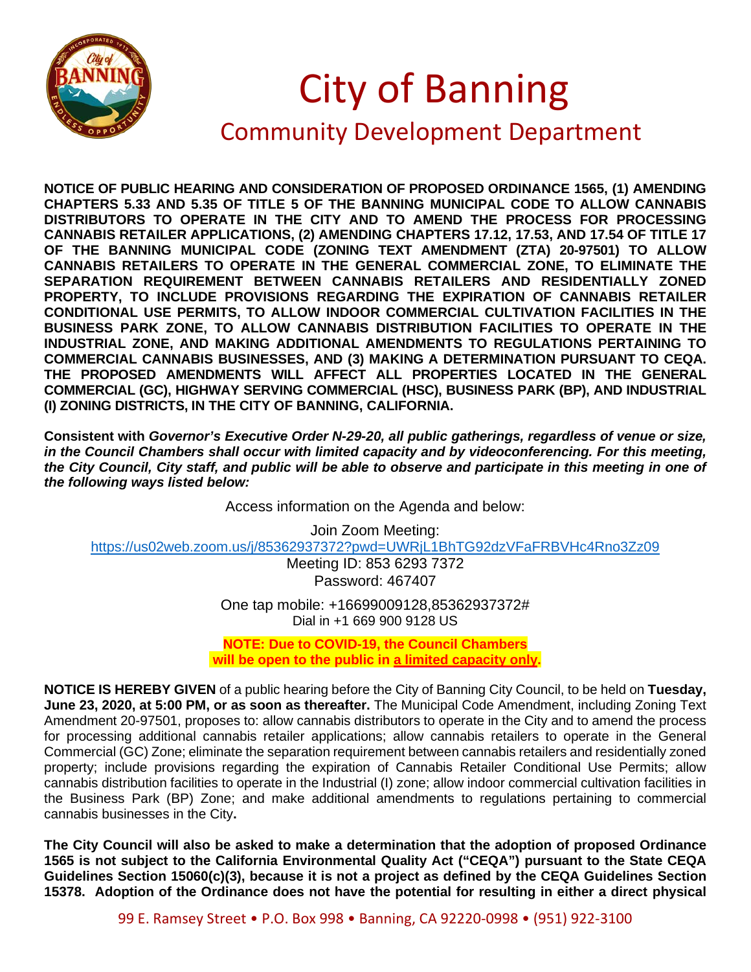

## City of Banning Community Development Department

**NOTICE OF PUBLIC HEARING AND CONSIDERATION OF PROPOSED ORDINANCE 1565, (1) AMENDING CHAPTERS 5.33 AND 5.35 OF TITLE 5 OF THE BANNING MUNICIPAL CODE TO ALLOW CANNABIS DISTRIBUTORS TO OPERATE IN THE CITY AND TO AMEND THE PROCESS FOR PROCESSING CANNABIS RETAILER APPLICATIONS, (2) AMENDING CHAPTERS 17.12, 17.53, AND 17.54 OF TITLE 17 OF THE BANNING MUNICIPAL CODE (ZONING TEXT AMENDMENT (ZTA) 20-97501) TO ALLOW CANNABIS RETAILERS TO OPERATE IN THE GENERAL COMMERCIAL ZONE, TO ELIMINATE THE SEPARATION REQUIREMENT BETWEEN CANNABIS RETAILERS AND RESIDENTIALLY ZONED PROPERTY, TO INCLUDE PROVISIONS REGARDING THE EXPIRATION OF CANNABIS RETAILER CONDITIONAL USE PERMITS, TO ALLOW INDOOR COMMERCIAL CULTIVATION FACILITIES IN THE BUSINESS PARK ZONE, TO ALLOW CANNABIS DISTRIBUTION FACILITIES TO OPERATE IN THE INDUSTRIAL ZONE, AND MAKING ADDITIONAL AMENDMENTS TO REGULATIONS PERTAINING TO COMMERCIAL CANNABIS BUSINESSES, AND (3) MAKING A DETERMINATION PURSUANT TO CEQA. THE PROPOSED AMENDMENTS WILL AFFECT ALL PROPERTIES LOCATED IN THE GENERAL COMMERCIAL (GC), HIGHWAY SERVING COMMERCIAL (HSC), BUSINESS PARK (BP), AND INDUSTRIAL (I) ZONING DISTRICTS, IN THE CITY OF BANNING, CALIFORNIA.**

**Consistent with** *Governor's Executive Order N-29-20, all public gatherings, regardless of venue or size, in the Council Chambers shall occur with limited capacity and by videoconferencing. For this meeting, the City Council, City staff, and public will be able to observe and participate in this meeting in one of the following ways listed below:*

Access information on the Agenda and below:

Join Zoom Meeting: <https://us02web.zoom.us/j/85362937372?pwd=UWRjL1BhTG92dzVFaFRBVHc4Rno3Zz09> Meeting ID: 853 6293 7372 Password: 467407

One tap mobile: +16699009128,85362937372# Dial in +1 669 900 9128 US

**NOTE: Due to COVID-19, the Council Chambers will be open to the public in a limited capacity only.**

**NOTICE IS HEREBY GIVEN** of a public hearing before the City of Banning City Council, to be held on **Tuesday, June 23, 2020, at 5:00 PM, or as soon as thereafter.** The Municipal Code Amendment, including Zoning Text Amendment 20-97501, proposes to: allow cannabis distributors to operate in the City and to amend the process for processing additional cannabis retailer applications; allow cannabis retailers to operate in the General Commercial (GC) Zone; eliminate the separation requirement between cannabis retailers and residentially zoned property; include provisions regarding the expiration of Cannabis Retailer Conditional Use Permits; allow cannabis distribution facilities to operate in the Industrial (I) zone; allow indoor commercial cultivation facilities in the Business Park (BP) Zone; and make additional amendments to regulations pertaining to commercial cannabis businesses in the City**.** 

**The City Council will also be asked to make a determination that the adoption of proposed Ordinance 1565 is not subject to the California Environmental Quality Act ("CEQA") pursuant to the State CEQA Guidelines Section 15060(c)(3), because it is not a project as defined by the CEQA Guidelines Section 15378. Adoption of the Ordinance does not have the potential for resulting in either a direct physical**